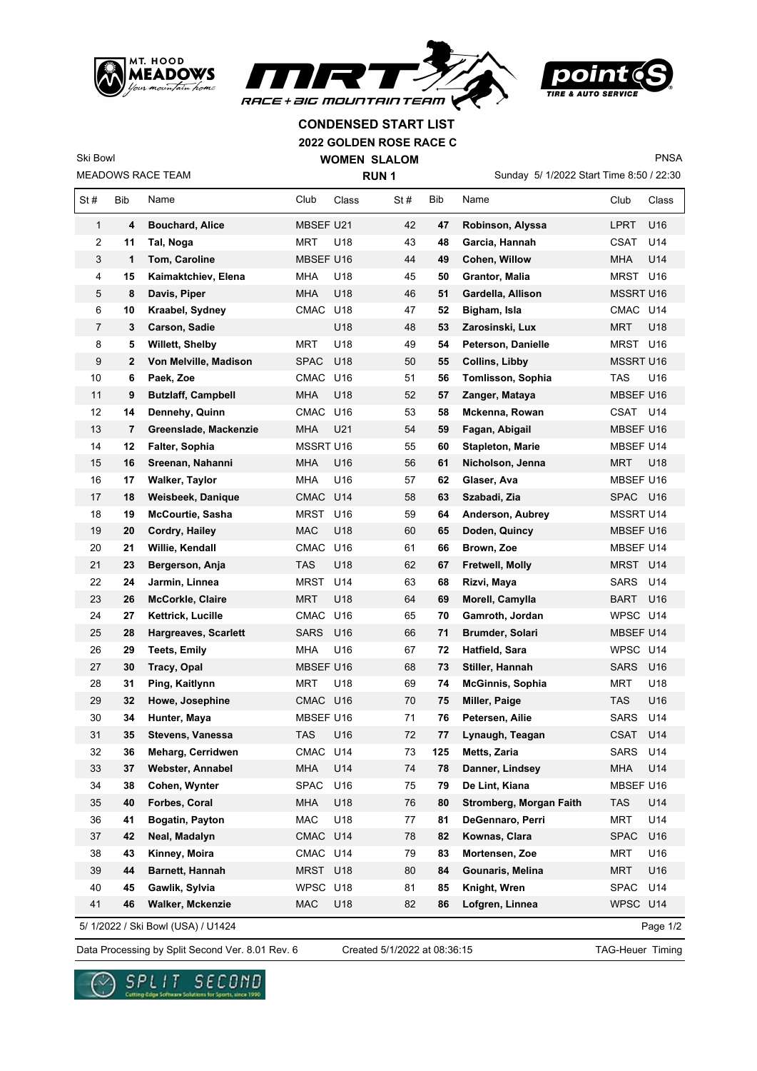





PNSA

## **2022 GOLDEN ROSE RACE C CONDENSED START LIST**

MEADOWS RACE TEAM Ski Bowl

 $\overline{1}$ 

**WOMEN SLALOM RUN 1**

Sunday 5/ 1/2022 Start Time 8:50 / 22:30

| St#          | Bib | Name                        | Club             | Class           | St# | Bib        | Name                    | Club             | Class |
|--------------|-----|-----------------------------|------------------|-----------------|-----|------------|-------------------------|------------------|-------|
| $\mathbf{1}$ | 4   | <b>Bouchard, Alice</b>      | <b>MBSEF U21</b> |                 | 42  | 47         | Robinson, Alyssa        | <b>LPRT</b>      | U16   |
| 2            | 11  | Tal, Noga                   | <b>MRT</b>       | U18             | 43  | 48         | Garcia, Hannah          | CSAT             | U14   |
| 3            | 1   | Tom, Caroline               | MBSEF U16        |                 | 44  | 49         | Cohen, Willow           | <b>MHA</b>       | U14   |
| 4            | 15  | Kaimaktchiev, Elena         | <b>MHA</b>       | U18             | 45  | 50         | Grantor, Malia          | <b>MRST</b>      | U16   |
| 5            | 8   | Davis, Piper                | <b>MHA</b>       | U18             | 46  | 51         | Gardella, Allison       | <b>MSSRT U16</b> |       |
| 6            | 10  | Kraabel, Sydney             | CMAC             | U18             | 47  | 52         | Bigham, Isla            | CMAC             | U14   |
| 7            | 3   | Carson, Sadie               |                  | U18             | 48  | 53         | Zarosinski, Lux         | <b>MRT</b>       | U18   |
| 8            | 5   | Willett, Shelby             | MRT              | U18             | 49  | 54         | Peterson, Danielle      | <b>MRST</b>      | U16   |
| 9            | 2   | Von Melville, Madison       | <b>SPAC</b>      | U18             | 50  | 55         | Collins, Libby          | MSSRT U16        |       |
| 10           | 6   | Paek, Zoe                   | CMAC             | U16             | 51  | 56         | Tomlisson, Sophia       | <b>TAS</b>       | U16   |
| 11           | 9   | <b>Butzlaff, Campbell</b>   | <b>MHA</b>       | U <sub>18</sub> | 52  | 57         | Zanger, Mataya          | MBSEF U16        |       |
| 12           | 14  | Dennehy, Quinn              | <b>CMAC</b>      | U16             | 53  | 58         | Mckenna, Rowan          | CSAT             | U14   |
| 13           | 7   | Greenslade, Mackenzie       | <b>MHA</b>       | U21             | 54  | 59         | Fagan, Abigail          | MBSEF U16        |       |
| 14           | 12  | Falter, Sophia              | MSSRT U16        |                 | 55  | 60         | <b>Stapleton, Marie</b> | MBSEF U14        |       |
| 15           | 16  | Sreenan, Nahanni            | <b>MHA</b>       | U16             | 56  | 61         | Nicholson, Jenna        | <b>MRT</b>       | U18   |
| 16           | 17  | Walker, Taylor              | <b>MHA</b>       | U16             | 57  | 62         | Glaser, Ava             | MBSEF U16        |       |
| 17           | 18  | Weisbeek, Danique           | <b>CMAC</b>      | U14             | 58  | 63         | Szabadi, Zia            | <b>SPAC</b>      | U16   |
| 18           | 19  | <b>McCourtie, Sasha</b>     | MRST             | U16             | 59  | 64         | Anderson, Aubrey        | <b>MSSRT U14</b> |       |
| 19           | 20  | Cordry, Hailey              | MAC              | U18             | 60  | 65         | Doden, Quincy           | MBSEF U16        |       |
| 20           | 21  | Willie, Kendall             | CMAC             | U16             | 61  | 66         | Brown, Zoe              | MBSEF U14        |       |
| 21           | 23  | Bergerson, Anja             | <b>TAS</b>       | U18             | 62  | 67         | Fretwell, Molly         | MRST U14         |       |
| 22           | 24  | Jarmin, Linnea              | MRST             | U14             | 63  | 68         | Rizvi, Maya             | <b>SARS</b>      | U14   |
| 23           | 26  | <b>McCorkle, Claire</b>     | <b>MRT</b>       | U18             | 64  | 69         | Morell, Camylla         | <b>BART</b>      | U16   |
| 24           | 27  | Kettrick, Lucille           | <b>CMAC</b>      | U16             | 65  | 70         | Gamroth, Jordan         | WPSC             | U14   |
| 25           | 28  | <b>Hargreaves, Scarlett</b> | <b>SARS</b>      | U16             | 66  | 71         | <b>Brumder, Solari</b>  | MBSEF U14        |       |
| 26           | 29  | <b>Teets, Emily</b>         | MHA              | U16             | 67  | 72         | Hatfield, Sara          | <b>WPSC</b>      | U14   |
| 27           | 30  | Tracy, Opal                 | MBSEF U16        |                 | 68  | 73         | Stiller, Hannah         | <b>SARS</b>      | U16   |
| 28           | 31  | Ping, Kaitlynn              | <b>MRT</b>       | U18             | 69  | 74         | McGinnis, Sophia        | <b>MRT</b>       | U18   |
| 29           | 32  | Howe, Josephine             | CMAC U16         |                 | 70  | 75         | Miller, Paige           | TAS              | U16   |
| 30           | 34  | Hunter, Maya                | MBSEF U16        |                 | 71  | 76         | Petersen, Ailie         | <b>SARS</b>      | U14   |
| 31           | 35  | Stevens, Vanessa            | <b>TAS</b>       | U16             | 72  | 77         | Lynaugh, Teagan         | <b>CSAT</b>      | U14   |
| 32           | 36  | Meharg, Cerridwen           | CMAC U14         |                 | 73  | 125        | Metts, Zaria            | <b>SARS</b>      | U14   |
| 33           | 37  | Webster, Annabel            | MHA U14          |                 | 74  | ${\bf 78}$ | Danner, Lindsey         | MHA U14          |       |
| 34           | 38  | Cohen, Wynter               | <b>SPAC</b>      | U16             | 75  | 79         | De Lint, Kiana          | MBSEF U16        |       |
| 35           | 40  | Forbes, Coral               | <b>MHA</b>       | U18             | 76  | 80         | Stromberg, Morgan Faith | <b>TAS</b>       | U14   |
| 36           | 41  | Bogatin, Payton             | MAC              | U18             | 77  | 81         | DeGennaro, Perri        | <b>MRT</b>       | U14   |
| 37           | 42  | Neal, Madalyn               | <b>CMAC</b>      | U14             | 78  | 82         | Kownas, Clara           | <b>SPAC</b>      | U16   |
| 38           | 43  | Kinney, Moira               | CMAC U14         |                 | 79  | 83         | Mortensen, Zoe          | <b>MRT</b>       | U16   |
| 39           | 44  | Barnett, Hannah             | MRST U18         |                 | 80  | 84         | Gounaris, Melina        | <b>MRT</b>       | U16   |
| 40           | 45  | Gawlik, Sylvia              | WPSC U18         |                 | 81  | 85         | Knight, Wren            | <b>SPAC</b>      | U14   |
| 41           | 46  | <b>Walker, Mckenzie</b>     | <b>MAC</b>       | U18             | 82  | 86         | Lofgren, Linnea         | <b>WPSC</b>      | U14   |
|              |     |                             |                  |                 |     |            |                         |                  |       |

5/ 1/2022 / Ski Bowl (USA) / U1424

Page 1/2

Data Processing by Split Second Ver. 8.01 Rev. 6 Created 5/1/2022 at 08:36:15 TAG-Heuer Timing

Created 5/1/2022 at 08:36:15